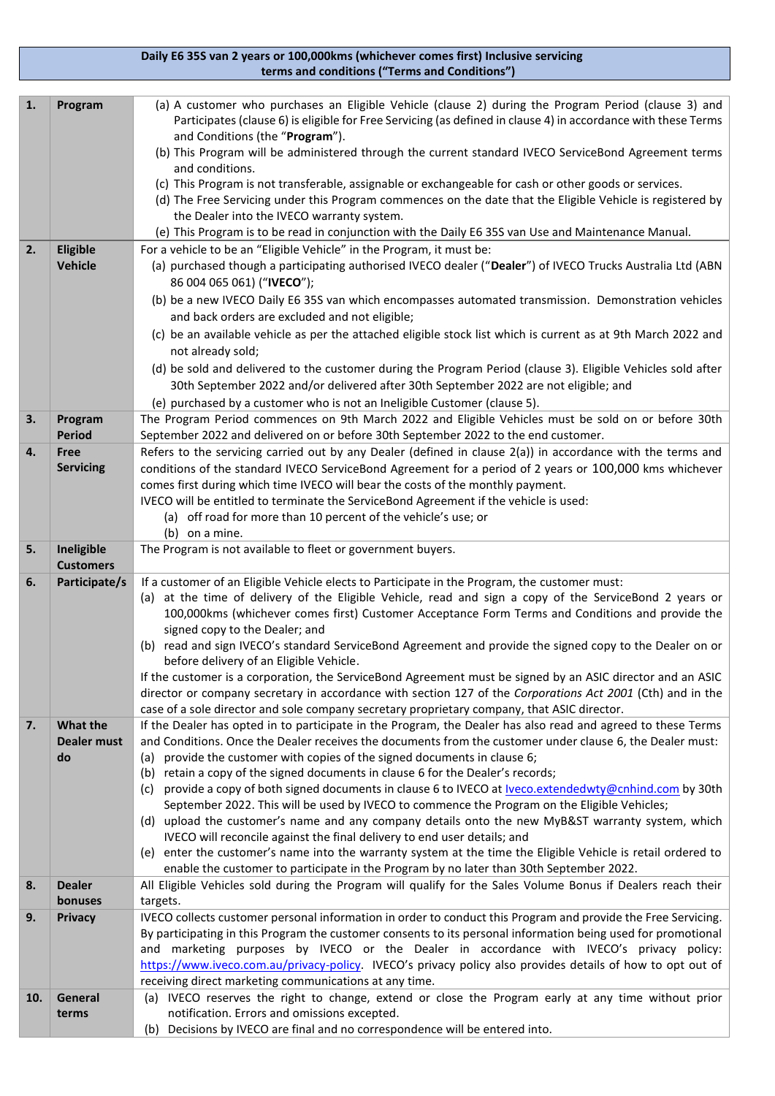## **Daily E6 35S van 2 years or 100,000kms (whichever comes first) Inclusive servicing terms and conditions ("Terms and Conditions")**

| 1.  | Program                  | (a) A customer who purchases an Eligible Vehicle (clause 2) during the Program Period (clause 3) and<br>Participates (clause 6) is eligible for Free Servicing (as defined in clause 4) in accordance with these Terms<br>and Conditions (the "Program").<br>(b) This Program will be administered through the current standard IVECO ServiceBond Agreement terms<br>and conditions.<br>(c) This Program is not transferable, assignable or exchangeable for cash or other goods or services.<br>(d) The Free Servicing under this Program commences on the date that the Eligible Vehicle is registered by<br>the Dealer into the IVECO warranty system.<br>(e) This Program is to be read in conjunction with the Daily E6 35S van Use and Maintenance Manual. |  |  |
|-----|--------------------------|------------------------------------------------------------------------------------------------------------------------------------------------------------------------------------------------------------------------------------------------------------------------------------------------------------------------------------------------------------------------------------------------------------------------------------------------------------------------------------------------------------------------------------------------------------------------------------------------------------------------------------------------------------------------------------------------------------------------------------------------------------------|--|--|
| 2.  | Eligible                 | For a vehicle to be an "Eligible Vehicle" in the Program, it must be:                                                                                                                                                                                                                                                                                                                                                                                                                                                                                                                                                                                                                                                                                            |  |  |
|     | <b>Vehicle</b>           | (a) purchased though a participating authorised IVECO dealer ("Dealer") of IVECO Trucks Australia Ltd (ABN<br>86 004 065 061) ("IVECO");                                                                                                                                                                                                                                                                                                                                                                                                                                                                                                                                                                                                                         |  |  |
|     |                          | (b) be a new IVECO Daily E6 35S van which encompasses automated transmission. Demonstration vehicles<br>and back orders are excluded and not eligible;                                                                                                                                                                                                                                                                                                                                                                                                                                                                                                                                                                                                           |  |  |
|     |                          | (c) be an available vehicle as per the attached eligible stock list which is current as at 9th March 2022 and<br>not already sold;                                                                                                                                                                                                                                                                                                                                                                                                                                                                                                                                                                                                                               |  |  |
|     |                          | (d) be sold and delivered to the customer during the Program Period (clause 3). Eligible Vehicles sold after                                                                                                                                                                                                                                                                                                                                                                                                                                                                                                                                                                                                                                                     |  |  |
|     |                          | 30th September 2022 and/or delivered after 30th September 2022 are not eligible; and                                                                                                                                                                                                                                                                                                                                                                                                                                                                                                                                                                                                                                                                             |  |  |
|     |                          |                                                                                                                                                                                                                                                                                                                                                                                                                                                                                                                                                                                                                                                                                                                                                                  |  |  |
|     |                          | (e) purchased by a customer who is not an Ineligible Customer (clause 5).                                                                                                                                                                                                                                                                                                                                                                                                                                                                                                                                                                                                                                                                                        |  |  |
| 3.  | Program<br><b>Period</b> | The Program Period commences on 9th March 2022 and Eligible Vehicles must be sold on or before 30th<br>September 2022 and delivered on or before 30th September 2022 to the end customer.                                                                                                                                                                                                                                                                                                                                                                                                                                                                                                                                                                        |  |  |
| 4.  | Free                     | Refers to the servicing carried out by any Dealer (defined in clause 2(a)) in accordance with the terms and                                                                                                                                                                                                                                                                                                                                                                                                                                                                                                                                                                                                                                                      |  |  |
|     | <b>Servicing</b>         | conditions of the standard IVECO ServiceBond Agreement for a period of 2 years or 100,000 kms whichever                                                                                                                                                                                                                                                                                                                                                                                                                                                                                                                                                                                                                                                          |  |  |
|     |                          | comes first during which time IVECO will bear the costs of the monthly payment.                                                                                                                                                                                                                                                                                                                                                                                                                                                                                                                                                                                                                                                                                  |  |  |
|     |                          | IVECO will be entitled to terminate the ServiceBond Agreement if the vehicle is used:                                                                                                                                                                                                                                                                                                                                                                                                                                                                                                                                                                                                                                                                            |  |  |
|     |                          | (a) off road for more than 10 percent of the vehicle's use; or                                                                                                                                                                                                                                                                                                                                                                                                                                                                                                                                                                                                                                                                                                   |  |  |
|     |                          | (b) on a mine.                                                                                                                                                                                                                                                                                                                                                                                                                                                                                                                                                                                                                                                                                                                                                   |  |  |
| 5.  | Ineligible               | The Program is not available to fleet or government buyers.                                                                                                                                                                                                                                                                                                                                                                                                                                                                                                                                                                                                                                                                                                      |  |  |
|     | <b>Customers</b>         |                                                                                                                                                                                                                                                                                                                                                                                                                                                                                                                                                                                                                                                                                                                                                                  |  |  |
| 6.  | Participate/s            | If a customer of an Eligible Vehicle elects to Participate in the Program, the customer must:<br>(a) at the time of delivery of the Eligible Vehicle, read and sign a copy of the ServiceBond 2 years or<br>100,000kms (whichever comes first) Customer Acceptance Form Terms and Conditions and provide the<br>signed copy to the Dealer; and                                                                                                                                                                                                                                                                                                                                                                                                                   |  |  |
|     |                          | (b) read and sign IVECO's standard ServiceBond Agreement and provide the signed copy to the Dealer on or<br>before delivery of an Eligible Vehicle.                                                                                                                                                                                                                                                                                                                                                                                                                                                                                                                                                                                                              |  |  |
|     |                          | If the customer is a corporation, the ServiceBond Agreement must be signed by an ASIC director and an ASIC                                                                                                                                                                                                                                                                                                                                                                                                                                                                                                                                                                                                                                                       |  |  |
|     |                          | director or company secretary in accordance with section 127 of the Corporations Act 2001 (Cth) and in the                                                                                                                                                                                                                                                                                                                                                                                                                                                                                                                                                                                                                                                       |  |  |
|     |                          | case of a sole director and sole company secretary proprietary company, that ASIC director.                                                                                                                                                                                                                                                                                                                                                                                                                                                                                                                                                                                                                                                                      |  |  |
| 7.  | What the                 | If the Dealer has opted in to participate in the Program, the Dealer has also read and agreed to these Terms                                                                                                                                                                                                                                                                                                                                                                                                                                                                                                                                                                                                                                                     |  |  |
|     | Dealer must              | and Conditions. Once the Dealer receives the documents from the customer under clause 6, the Dealer must:                                                                                                                                                                                                                                                                                                                                                                                                                                                                                                                                                                                                                                                        |  |  |
|     | do                       | provide the customer with copies of the signed documents in clause 6;<br>(a)                                                                                                                                                                                                                                                                                                                                                                                                                                                                                                                                                                                                                                                                                     |  |  |
|     |                          | retain a copy of the signed documents in clause 6 for the Dealer's records;<br>(b)                                                                                                                                                                                                                                                                                                                                                                                                                                                                                                                                                                                                                                                                               |  |  |
|     |                          | (c) provide a copy of both signed documents in clause 6 to IVECO at <b>Iveco.extendedwty@cnhind.com</b> by 30th<br>September 2022. This will be used by IVECO to commence the Program on the Eligible Vehicles;                                                                                                                                                                                                                                                                                                                                                                                                                                                                                                                                                  |  |  |
|     |                          | (d) upload the customer's name and any company details onto the new MyB&ST warranty system, which                                                                                                                                                                                                                                                                                                                                                                                                                                                                                                                                                                                                                                                                |  |  |
|     |                          | IVECO will reconcile against the final delivery to end user details; and                                                                                                                                                                                                                                                                                                                                                                                                                                                                                                                                                                                                                                                                                         |  |  |
|     |                          | (e) enter the customer's name into the warranty system at the time the Eligible Vehicle is retail ordered to                                                                                                                                                                                                                                                                                                                                                                                                                                                                                                                                                                                                                                                     |  |  |
|     |                          | enable the customer to participate in the Program by no later than 30th September 2022.                                                                                                                                                                                                                                                                                                                                                                                                                                                                                                                                                                                                                                                                          |  |  |
| 8.  | <b>Dealer</b>            | All Eligible Vehicles sold during the Program will qualify for the Sales Volume Bonus if Dealers reach their                                                                                                                                                                                                                                                                                                                                                                                                                                                                                                                                                                                                                                                     |  |  |
|     | bonuses                  | targets.                                                                                                                                                                                                                                                                                                                                                                                                                                                                                                                                                                                                                                                                                                                                                         |  |  |
| 9.  | <b>Privacy</b>           | IVECO collects customer personal information in order to conduct this Program and provide the Free Servicing.                                                                                                                                                                                                                                                                                                                                                                                                                                                                                                                                                                                                                                                    |  |  |
|     |                          | By participating in this Program the customer consents to its personal information being used for promotional                                                                                                                                                                                                                                                                                                                                                                                                                                                                                                                                                                                                                                                    |  |  |
|     |                          | and marketing purposes by IVECO or the Dealer in accordance with IVECO's privacy policy:                                                                                                                                                                                                                                                                                                                                                                                                                                                                                                                                                                                                                                                                         |  |  |
|     |                          | https://www.iveco.com.au/privacy-policy. IVECO's privacy policy also provides details of how to opt out of                                                                                                                                                                                                                                                                                                                                                                                                                                                                                                                                                                                                                                                       |  |  |
|     |                          | receiving direct marketing communications at any time.                                                                                                                                                                                                                                                                                                                                                                                                                                                                                                                                                                                                                                                                                                           |  |  |
| 10. | General                  | (a) IVECO reserves the right to change, extend or close the Program early at any time without prior                                                                                                                                                                                                                                                                                                                                                                                                                                                                                                                                                                                                                                                              |  |  |
|     | terms                    | notification. Errors and omissions excepted.                                                                                                                                                                                                                                                                                                                                                                                                                                                                                                                                                                                                                                                                                                                     |  |  |
|     |                          | Decisions by IVECO are final and no correspondence will be entered into.<br>(b)                                                                                                                                                                                                                                                                                                                                                                                                                                                                                                                                                                                                                                                                                  |  |  |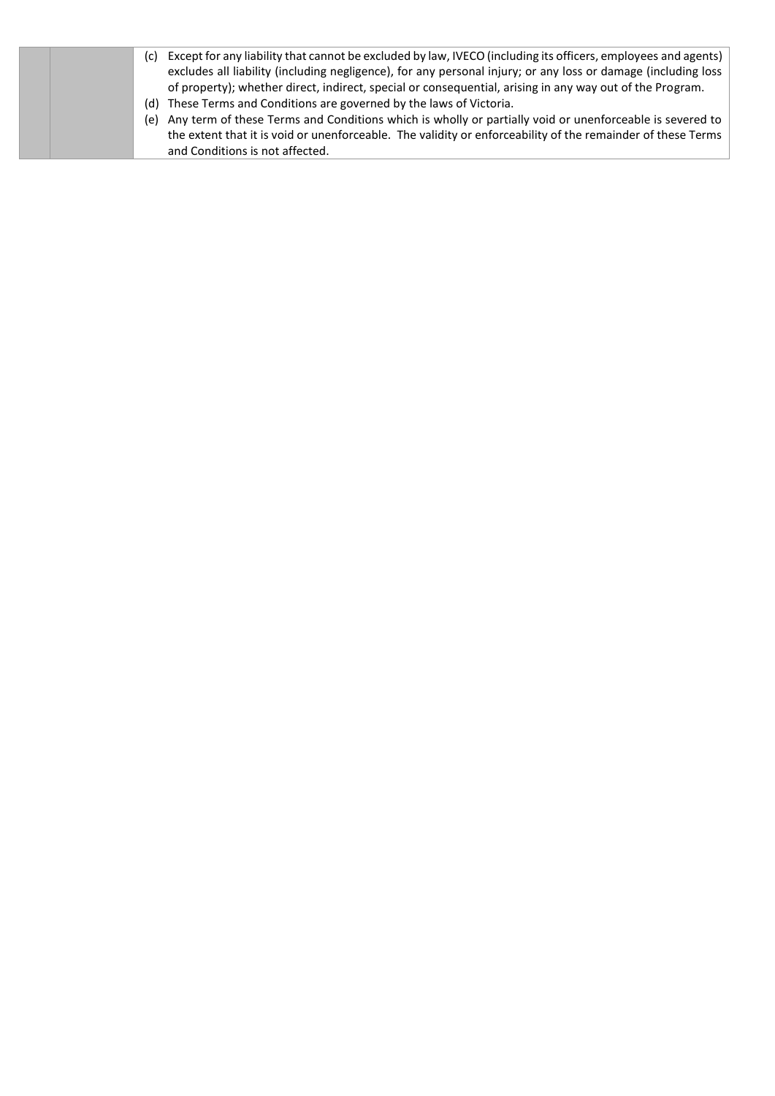| Except for any liability that cannot be excluded by law, IVECO (including its officers, employees and agents)<br>(c) |
|----------------------------------------------------------------------------------------------------------------------|
| excludes all liability (including negligence), for any personal injury; or any loss or damage (including loss        |
| of property); whether direct, indirect, special or consequential, arising in any way out of the Program.             |
| (d) These Terms and Conditions are governed by the laws of Victoria.                                                 |
| (e) Any term of these Terms and Conditions which is wholly or partially void or unenforceable is severed to          |
| the extent that it is void or unenforceable. The validity or enforceability of the remainder of these Terms          |
| and Conditions is not affected.                                                                                      |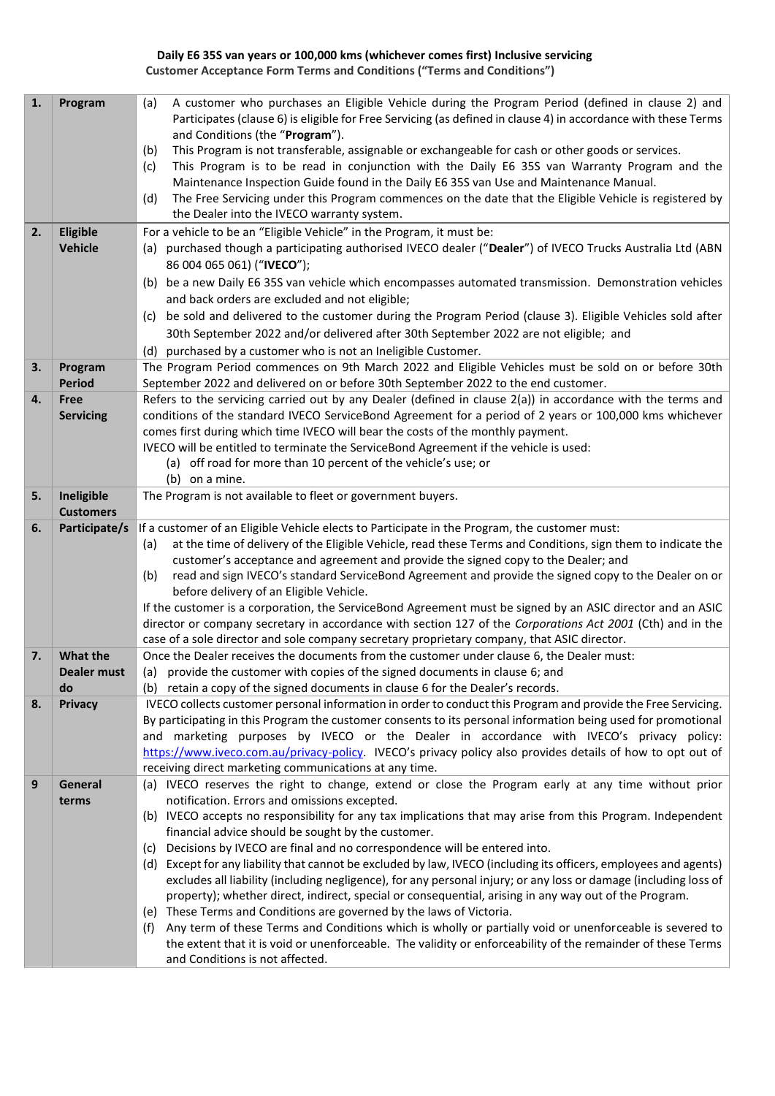## **Daily E6 35S van years or 100,000 kms (whichever comes first) Inclusive servicing Customer Acceptance Form Terms and Conditions ("Terms and Conditions")**

| $\mathbf{1}$ . | Program                  | A customer who purchases an Eligible Vehicle during the Program Period (defined in clause 2) and<br>(a)<br>Participates (clause 6) is eligible for Free Servicing (as defined in clause 4) in accordance with these Terms<br>and Conditions (the "Program").<br>This Program is not transferable, assignable or exchangeable for cash or other goods or services.<br>(b)<br>This Program is to be read in conjunction with the Daily E6 35S van Warranty Program and the<br>(c)<br>Maintenance Inspection Guide found in the Daily E6 35S van Use and Maintenance Manual.<br>The Free Servicing under this Program commences on the date that the Eligible Vehicle is registered by<br>(d)<br>the Dealer into the IVECO warranty system. |  |
|----------------|--------------------------|------------------------------------------------------------------------------------------------------------------------------------------------------------------------------------------------------------------------------------------------------------------------------------------------------------------------------------------------------------------------------------------------------------------------------------------------------------------------------------------------------------------------------------------------------------------------------------------------------------------------------------------------------------------------------------------------------------------------------------------|--|
| 2.             | <b>Eligible</b>          | For a vehicle to be an "Eligible Vehicle" in the Program, it must be:                                                                                                                                                                                                                                                                                                                                                                                                                                                                                                                                                                                                                                                                    |  |
|                | <b>Vehicle</b>           | (a) purchased though a participating authorised IVECO dealer ("Dealer") of IVECO Trucks Australia Ltd (ABN                                                                                                                                                                                                                                                                                                                                                                                                                                                                                                                                                                                                                               |  |
|                |                          | 86 004 065 061) ("IVECO");<br>(b) be a new Daily E6 35S van vehicle which encompasses automated transmission. Demonstration vehicles                                                                                                                                                                                                                                                                                                                                                                                                                                                                                                                                                                                                     |  |
|                |                          | and back orders are excluded and not eligible;                                                                                                                                                                                                                                                                                                                                                                                                                                                                                                                                                                                                                                                                                           |  |
|                |                          | (c) be sold and delivered to the customer during the Program Period (clause 3). Eligible Vehicles sold after                                                                                                                                                                                                                                                                                                                                                                                                                                                                                                                                                                                                                             |  |
|                |                          | 30th September 2022 and/or delivered after 30th September 2022 are not eligible; and                                                                                                                                                                                                                                                                                                                                                                                                                                                                                                                                                                                                                                                     |  |
|                |                          | purchased by a customer who is not an Ineligible Customer.<br>(d)                                                                                                                                                                                                                                                                                                                                                                                                                                                                                                                                                                                                                                                                        |  |
| 3.             | Program<br><b>Period</b> | The Program Period commences on 9th March 2022 and Eligible Vehicles must be sold on or before 30th                                                                                                                                                                                                                                                                                                                                                                                                                                                                                                                                                                                                                                      |  |
| 4.             | <b>Free</b>              | September 2022 and delivered on or before 30th September 2022 to the end customer.<br>Refers to the servicing carried out by any Dealer (defined in clause 2(a)) in accordance with the terms and                                                                                                                                                                                                                                                                                                                                                                                                                                                                                                                                        |  |
|                | <b>Servicing</b>         | conditions of the standard IVECO ServiceBond Agreement for a period of 2 years or 100,000 kms whichever                                                                                                                                                                                                                                                                                                                                                                                                                                                                                                                                                                                                                                  |  |
|                |                          | comes first during which time IVECO will bear the costs of the monthly payment.                                                                                                                                                                                                                                                                                                                                                                                                                                                                                                                                                                                                                                                          |  |
|                |                          | IVECO will be entitled to terminate the ServiceBond Agreement if the vehicle is used:                                                                                                                                                                                                                                                                                                                                                                                                                                                                                                                                                                                                                                                    |  |
|                |                          | (a) off road for more than 10 percent of the vehicle's use; or<br>(b) on a mine.                                                                                                                                                                                                                                                                                                                                                                                                                                                                                                                                                                                                                                                         |  |
| 5.             | Ineligible               | The Program is not available to fleet or government buyers.                                                                                                                                                                                                                                                                                                                                                                                                                                                                                                                                                                                                                                                                              |  |
|                | <b>Customers</b>         |                                                                                                                                                                                                                                                                                                                                                                                                                                                                                                                                                                                                                                                                                                                                          |  |
| 6.             | Participate/s            | If a customer of an Eligible Vehicle elects to Participate in the Program, the customer must:                                                                                                                                                                                                                                                                                                                                                                                                                                                                                                                                                                                                                                            |  |
|                |                          | at the time of delivery of the Eligible Vehicle, read these Terms and Conditions, sign them to indicate the<br>(a)                                                                                                                                                                                                                                                                                                                                                                                                                                                                                                                                                                                                                       |  |
|                |                          | customer's acceptance and agreement and provide the signed copy to the Dealer; and<br>read and sign IVECO's standard ServiceBond Agreement and provide the signed copy to the Dealer on or<br>(b)                                                                                                                                                                                                                                                                                                                                                                                                                                                                                                                                        |  |
|                |                          | before delivery of an Eligible Vehicle.                                                                                                                                                                                                                                                                                                                                                                                                                                                                                                                                                                                                                                                                                                  |  |
|                |                          | If the customer is a corporation, the ServiceBond Agreement must be signed by an ASIC director and an ASIC                                                                                                                                                                                                                                                                                                                                                                                                                                                                                                                                                                                                                               |  |
|                |                          | director or company secretary in accordance with section 127 of the Corporations Act 2001 (Cth) and in the                                                                                                                                                                                                                                                                                                                                                                                                                                                                                                                                                                                                                               |  |
| 7.             | <b>What the</b>          | case of a sole director and sole company secretary proprietary company, that ASIC director.<br>Once the Dealer receives the documents from the customer under clause 6, the Dealer must:                                                                                                                                                                                                                                                                                                                                                                                                                                                                                                                                                 |  |
|                | Dealer must              | (a) provide the customer with copies of the signed documents in clause 6; and                                                                                                                                                                                                                                                                                                                                                                                                                                                                                                                                                                                                                                                            |  |
|                | do                       | (b) retain a copy of the signed documents in clause 6 for the Dealer's records.                                                                                                                                                                                                                                                                                                                                                                                                                                                                                                                                                                                                                                                          |  |
| 8.             | <b>Privacy</b>           | IVECO collects customer personal information in order to conduct this Program and provide the Free Servicing.                                                                                                                                                                                                                                                                                                                                                                                                                                                                                                                                                                                                                            |  |
|                |                          | By participating in this Program the customer consents to its personal information being used for promotional                                                                                                                                                                                                                                                                                                                                                                                                                                                                                                                                                                                                                            |  |
|                |                          | and marketing purposes by IVECO or the Dealer in accordance with IVECO's privacy policy:<br>https://www.iveco.com.au/privacy-policy. IVECO's privacy policy also provides details of how to opt out of                                                                                                                                                                                                                                                                                                                                                                                                                                                                                                                                   |  |
|                |                          | receiving direct marketing communications at any time.                                                                                                                                                                                                                                                                                                                                                                                                                                                                                                                                                                                                                                                                                   |  |
| 9              | General                  | (a) IVECO reserves the right to change, extend or close the Program early at any time without prior                                                                                                                                                                                                                                                                                                                                                                                                                                                                                                                                                                                                                                      |  |
|                | terms                    | notification. Errors and omissions excepted.                                                                                                                                                                                                                                                                                                                                                                                                                                                                                                                                                                                                                                                                                             |  |
|                |                          | (b) IVECO accepts no responsibility for any tax implications that may arise from this Program. Independent                                                                                                                                                                                                                                                                                                                                                                                                                                                                                                                                                                                                                               |  |
|                |                          | financial advice should be sought by the customer.<br>Decisions by IVECO are final and no correspondence will be entered into.<br>(C)                                                                                                                                                                                                                                                                                                                                                                                                                                                                                                                                                                                                    |  |
|                |                          | (d) Except for any liability that cannot be excluded by law, IVECO (including its officers, employees and agents)                                                                                                                                                                                                                                                                                                                                                                                                                                                                                                                                                                                                                        |  |
|                |                          | excludes all liability (including negligence), for any personal injury; or any loss or damage (including loss of                                                                                                                                                                                                                                                                                                                                                                                                                                                                                                                                                                                                                         |  |
|                |                          | property); whether direct, indirect, special or consequential, arising in any way out of the Program.                                                                                                                                                                                                                                                                                                                                                                                                                                                                                                                                                                                                                                    |  |
|                |                          | (e) These Terms and Conditions are governed by the laws of Victoria.<br>Any term of these Terms and Conditions which is wholly or partially void or unenforceable is severed to<br>(t)                                                                                                                                                                                                                                                                                                                                                                                                                                                                                                                                                   |  |
|                |                          | the extent that it is void or unenforceable. The validity or enforceability of the remainder of these Terms                                                                                                                                                                                                                                                                                                                                                                                                                                                                                                                                                                                                                              |  |
|                |                          | and Conditions is not affected.                                                                                                                                                                                                                                                                                                                                                                                                                                                                                                                                                                                                                                                                                                          |  |